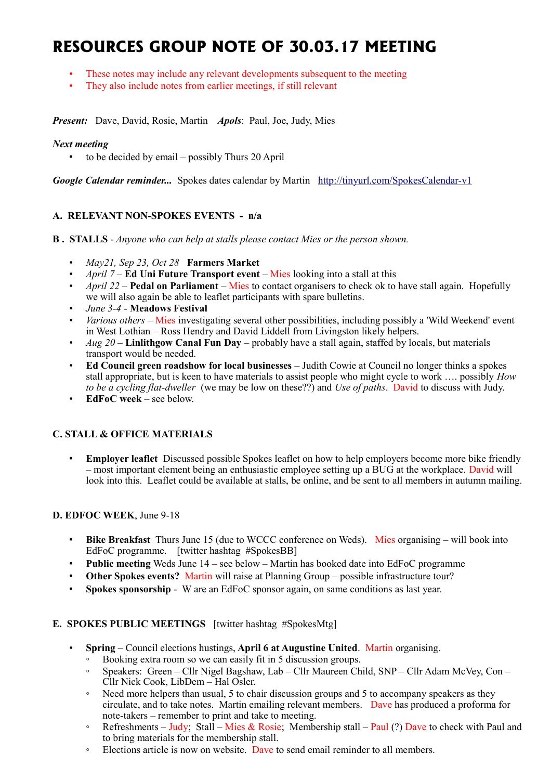# **RESOURCES GROUP NOTE OF 30.03.17 MEETING**

- These notes may include any relevant developments subsequent to the meeting
- They also include notes from earlier meetings, if still relevant

*Present:* Dave, David, Rosie, Martin *Apols*: Paul, Joe, Judy, Mies

#### *Next meeting*

• to be decided by email – possibly Thurs 20 April

*Google Calendar reminder...* Spokes dates calendar by Martin <http://tinyurl.com/SpokesCalendar-v1>

# **A. RELEVANT NON-SPOKES EVENTS - n/a**

- **B . STALLS** *Anyone who can help at stalls please contact Mies or the person shown.*
	- *May21, Sep 23, Oct 28* **Farmers Market**
	- *April 7* **Ed Uni Future Transport event** Mies looking into a stall at this
	- *April 22 –* **Pedal on Parliament** Mies to contact organisers to check ok to have stall again. Hopefully we will also again be able to leaflet participants with spare bulletins.
	- *June 3-4* **Meadows Festival**
	- *Various others* Mies investigating several other possibilities, including possibly a 'Wild Weekend' event in West Lothian – Ross Hendry and David Liddell from Livingston likely helpers.
	- *Aug 20* **Linlithgow Canal Fun Day** probably have a stall again, staffed by locals, but materials transport would be needed.
	- **Ed Council green roadshow for local businesses** Judith Cowie at Council no longer thinks a spokes stall appropriate, but is keen to have materials to assist people who might cycle to work …. possibly *How to be a cycling flat-dweller* (we may be low on these??) and *Use of paths*. David to discuss with Judy.
	- **EdFoC week** see below.

# **C. STALL & OFFICE MATERIALS**

• **Employer leaflet** Discussed possible Spokes leaflet on how to help employers become more bike friendly – most important element being an enthusiastic employee setting up a BUG at the workplace. David will look into this. Leaflet could be available at stalls, be online, and be sent to all members in autumn mailing.

# **D. EDFOC WEEK**, June 9-18

- **Bike Breakfast** Thurs June 15 (due to WCCC conference on Weds). Mies organising will book into EdFoC programme. [twitter hashtag #SpokesBB]
- **Public meeting** Weds June 14 see below Martin has booked date into EdFoC programme
- **Other Spokes events?** Martin will raise at Planning Group possible infrastructure tour?
- **Spokes sponsorship** W are an EdFoC sponsor again, on same conditions as last year.

#### **E. SPOKES PUBLIC MEETINGS** [twitter hashtag #SpokesMtg]

- **Spring** Council elections hustings, **April 6 at Augustine United**. Martin organising.
	- Booking extra room so we can easily fit in 5 discussion groups.
	- Speakers: Green Cllr Nigel Bagshaw, Lab Cllr Maureen Child, SNP Cllr Adam McVey, Con Cllr Nick Cook, LibDem – Hal Osler.
	- Need more helpers than usual, 5 to chair discussion groups and 5 to accompany speakers as they circulate, and to take notes. Martin emailing relevant members. Dave has produced a proforma for note-takers – remember to print and take to meeting.
	- Refreshments Judy; Stall Mies & Rosie; Membership stall Paul (?) Dave to check with Paul and to bring materials for the membership stall.
	- Elections article is now on website. Dave to send email reminder to all members.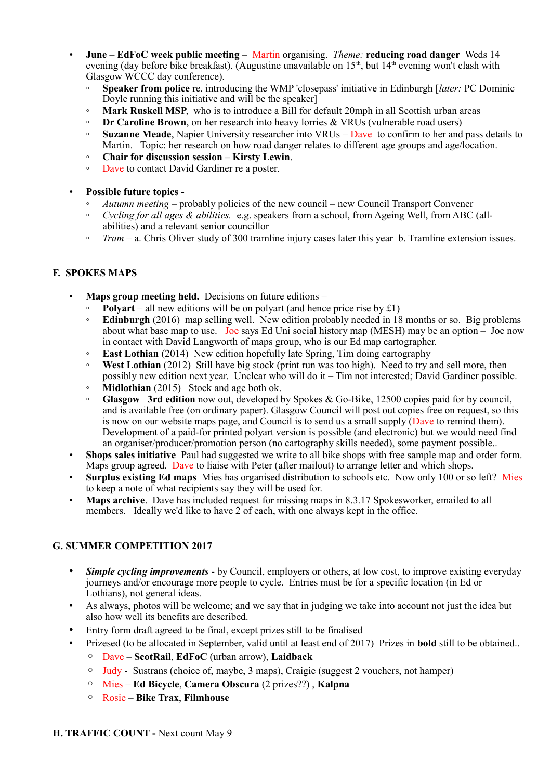- **June EdFoC week public meeting** Martin organising. *Theme:* **reducing road danger** Weds 14 evening (day before bike breakfast). (Augustine unavailable on  $15<sup>th</sup>$ , but  $14<sup>th</sup>$  evening won't clash with Glasgow WCCC day conference).
	- **Speaker from police** re. introducing the WMP 'closepass' initiative in Edinburgh [*later:* PC Dominic Doyle running this initiative and will be the speaker
	- **Mark Ruskell MSP**, who is to introduce a Bill for default 20mph in all Scottish urban areas
	- **Dr Caroline Brown**, on her research into heavy lorries & VRUs (vulnerable road users)
	- **Suzanne Meade**, Napier University researcher into VRUs Dave to confirm to her and pass details to Martin. Topic: her research on how road danger relates to different age groups and age/location.
	- **Chair for discussion session Kirsty Lewin**.
	- Dave to contact David Gardiner re a poster.
- **Possible future topics -**
	- *Autumn meeting* probably policies of the new council new Council Transport Convener
	- *Cycling for all ages & abilities.* e.g. speakers from a school, from Ageing Well, from ABC (allabilities) and a relevant senior councillor
	- *Tram* a. Chris Oliver study of 300 tramline injury cases later this year b. Tramline extension issues.

# **F. SPOKES MAPS**

- **Maps group meeting held.** Decisions on future editions
	- **Polyart** all new editions will be on polyart (and hence price rise by  $£1)$ )
	- **Edinburgh** (2016) map selling well. New edition probably needed in 18 months or so. Big problems about what base map to use. Joe says Ed Uni social history map (MESH) may be an option – Joe now in contact with David Langworth of maps group, who is our Ed map cartographer.
	- **East Lothian** (2014) New edition hopefully late Spring, Tim doing cartography
	- **West Lothian** (2012) Still have big stock (print run was too high). Need to try and sell more, then possibly new edition next year. Unclear who will do it – Tim not interested; David Gardiner possible.
	- **Midlothian** (2015) Stock and age both ok.
	- **Glasgow 3rd edition** now out, developed by Spokes & Go-Bike, 12500 copies paid for by council, and is available free (on ordinary paper). Glasgow Council will post out copies free on request, so this is now on our website maps page, and Council is to send us a small supply (Dave to remind them). Development of a paid-for printed polyart version is possible (and electronic) but we would need find an organiser/producer/promotion person (no cartography skills needed), some payment possible..
- **Shops sales initiative** Paul had suggested we write to all bike shops with free sample map and order form. Maps group agreed. Dave to liaise with Peter (after mailout) to arrange letter and which shops.
- **Surplus existing Ed maps** Mies has organised distribution to schools etc. Now only 100 or so left? Mies to keep a note of what recipients say they will be used for.
- Maps archive. Dave has included request for missing maps in 8.3.17 Spokesworker, emailed to all members. Ideally we'd like to have 2 of each, with one always kept in the office.

# **G. SUMMER COMPETITION 2017**

- *Simple cycling improvements* by Council, employers or others, at low cost, to improve existing everyday journeys and/or encourage more people to cycle. Entries must be for a specific location (in Ed or Lothians), not general ideas.
- As always, photos will be welcome; and we say that in judging we take into account not just the idea but also how well its benefits are described.
- Entry form draft agreed to be final, except prizes still to be finalised
- Prizesed (to be allocated in September, valid until at least end of 2017) Prizes in **bold** still to be obtained..
	- Dave **ScotRail**, **EdFoC** (urban arrow), **Laidback**
	- Judy Sustrans (choice of, maybe, 3 maps), Craigie (suggest 2 vouchers, not hamper)
	- Mies **Ed Bicycle**, **Camera Obscura** (2 prizes??) , **Kalpna**
	- Rosie **Bike Trax**, **Filmhouse**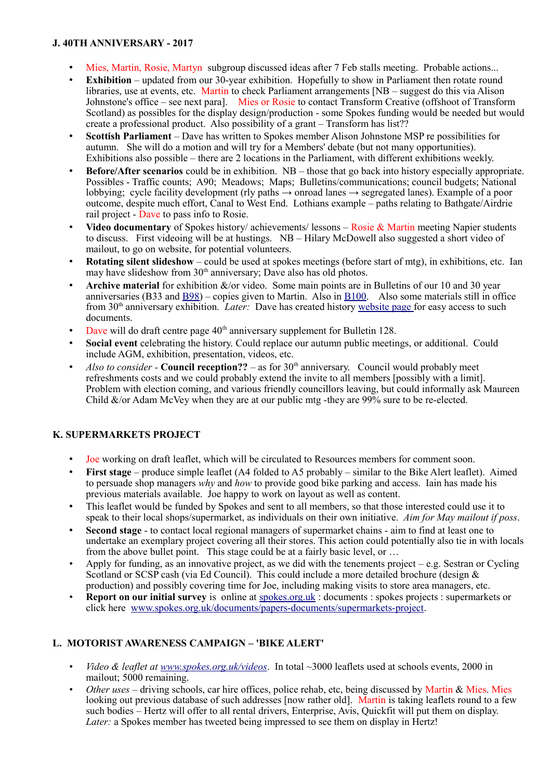#### **J. 40TH ANNIVERSARY - 2017**

- Mies, Martin, Rosie, Martyn subgroup discussed ideas after 7 Feb stalls meeting. Probable actions...
- **Exhibition** updated from our 30-year exhibition. Hopefully to show in Parliament then rotate round libraries, use at events, etc. Martin to check Parliament arrangements [NB – suggest do this via Alison Johnstone's office – see next para]. Mies or Rosie to contact Transform Creative (offshoot of Transform Scotland) as possibles for the display design/production - some Spokes funding would be needed but would create a professional product. Also possibility of a grant – Transform has list??
- **Scottish Parliament**  Dave has written to Spokes member Alison Johnstone MSP re possibilities for autumn. She will do a motion and will try for a Members' debate (but not many opportunities). Exhibitions also possible – there are 2 locations in the Parliament, with different exhibitions weekly.
- **Before/After scenarios** could be in exhibition. NB those that go back into history especially appropriate. Possibles - Traffic counts; A90; Meadows; Maps; Bulletins/communications; council budgets; National lobbying; cycle facility development (rly paths → onroad lanes → segregated lanes). Example of a poor outcome, despite much effort, Canal to West End. Lothians example – paths relating to Bathgate/Airdrie rail project - Dave to pass info to Rosie.
- **Video documentary** of Spokes history/ achievements/ lessons Rosie & Martin meeting Napier students to discuss. First videoing will be at hustings. NB – Hilary McDowell also suggested a short video of mailout, to go on website, for potential volunteers.
- **Rotating silent slideshow** could be used at spokes meetings (before start of mtg), in exhibitions, etc. Ian may have slideshow from  $30<sup>th</sup>$  anniversary; Dave also has old photos.
- **Archive material** for exhibition &/or video. Some main points are in Bulletins of our 10 and 30 year anniversaries (B33 and [B98\)](http://www.spokes.org.uk/wordpress/downloads/spokesbulletin/Spokes_Bulletin_98.pdf) – copies given to Martin. Also in [B100.](http://www.spokes.org.uk/wordpress/wp-content/uploads/2009/09/B100_fromBarr.pdf) Also some materials still in office from 30th anniversary exhibition. *Later:* Dave has created history [website page f](http://www.spokes.org.uk/documents/odds-and-ends-may-be-exciting/spokes-history/)or easy access to such documents.
- Dave will do draft centre page  $40<sup>th</sup>$  anniversary supplement for Bulletin 128.
- **Social event** celebrating the history. Could replace our autumn public meetings, or additional. Could include AGM, exhibition, presentation, videos, etc.
- *Also to consider -* **Council reception??** as for  $30<sup>th</sup>$  anniversary. Council would probably meet refreshments costs and we could probably extend the invite to all members [possibly with a limit]. Problem with election coming, and various friendly councillors leaving, but could informally ask Maureen Child &/or Adam McVey when they are at our public mtg -they are 99% sure to be re-elected.

# **K. SUPERMARKETS PROJECT**

- Joe working on draft leaflet, which will be circulated to Resources members for comment soon.
- **First stage** produce simple leaflet (A4 folded to A5 probably similar to the Bike Alert leaflet). Aimed to persuade shop managers *why* and *how* to provide good bike parking and access. Iain has made his previous materials available. Joe happy to work on layout as well as content.
- This leaflet would be funded by Spokes and sent to all members, so that those interested could use it to speak to their local shops/supermarket, as individuals on their own initiative. *Aim for May mailout if poss*.
- **Second stage**  to contact local regional managers of supermarket chains aim to find at least one to undertake an exemplary project covering all their stores. This action could potentially also tie in with locals from the above bullet point. This stage could be at a fairly basic level, or ...
- Apply for funding, as an innovative project, as we did with the tenements project e.g. Sestran or Cycling Scotland or SCSP cash (via Ed Council). This could include a more detailed brochure (design & production) and possibly covering time for Joe, including making visits to store area managers, etc.
- **Report on our initial survey** is online at [spokes.org.uk](http://spokes.org.uk/) : documents : spokes projects : supermarkets or click here [www.spokes.org.uk/documents/papers-documents/supermarkets-project.](http://www.spokes.org.uk/documents/papers-documents/supermarkets-project)

# **L. MOTORIST AWARENESS CAMPAIGN – 'BIKE ALERT'**

- *Video & leaflet at [www.spokes.org.uk/videos](http://www.spokes.org.uk/videos)*. In total ~3000 leaflets used at schools events, 2000 in mailout; 5000 remaining.
- *Other uses* driving schools, car hire offices, police rehab, etc, being discussed by Martin & Mies. Mies looking out previous database of such addresses [now rather old]. Martin is taking leaflets round to a few such bodies – Hertz will offer to all rental drivers, Enterprise, Avis, Quickfit will put them on display. *Later:* a Spokes member has tweeted being impressed to see them on display in Hertz!